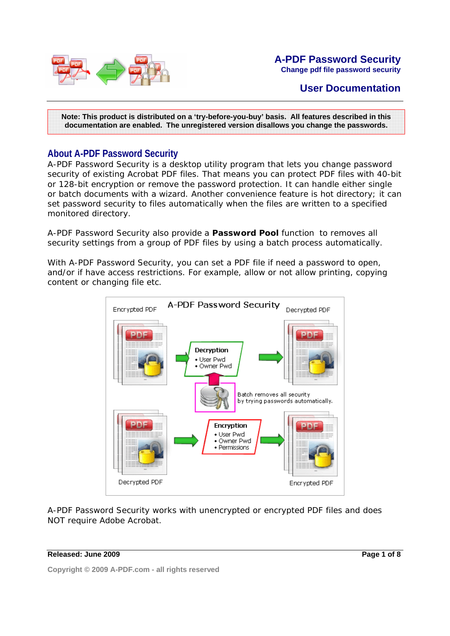

#### **A-PDF Password Security Change pdf file password security**

# **User Documentation**

**Note: This product is distributed on a 'try-before-you-buy' basis. All features described in this documentation are enabled. The unregistered version disallows you change the passwords.** 

#### **About A-PDF Password Security**

A-PDF Password Security is a desktop utility program that lets you change password security of existing Acrobat PDF files. That means you can protect PDF files with 40-bit or 128-bit encryption or remove the password protection. It can handle either single or batch documents with a wizard. Another convenience feature is hot directory; it can set password security to files automatically when the files are written to a specified monitored directory.

A-PDF Password Security also provide a **Password Pool** function to removes all security settings from a group of PDF files by using a batch process automatically.

With A-PDF Password Security, you can set a PDF file if need a password to open, and/or if have access restrictions. For example, allow or not allow printing, copying content or changing file etc.



A-PDF Password Security works with unencrypted or encrypted PDF files and does NOT require Adobe Acrobat.

#### **Released: June 2009**

**Page 1 of 8**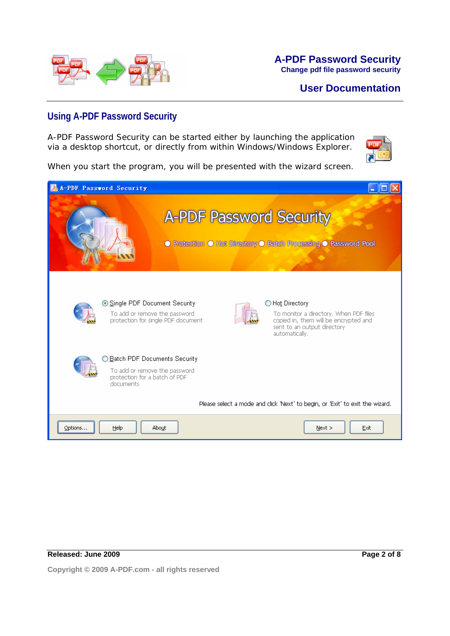

### **Using A-PDF Password Security**

A-PDF Password Security can be started either by launching the application via a desktop shortcut, or directly from within Windows/Windows Explorer.



When you start the program, you will be presented with the wizard screen.

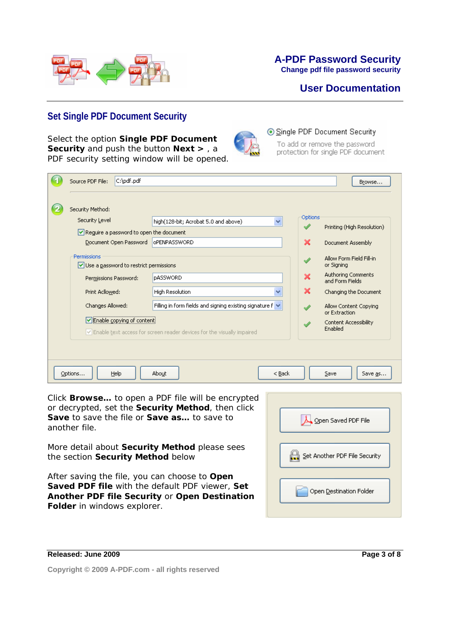

#### **A-PDF Password Security Change pdf file password security**

# **User Documentation**

## **Set Single PDF Document Security**

Select the option **Single PDF Document Security** and push the button **Next >** , a PDF security setting window will be opened.



#### Single PDF Document Security

To add or remove the password protection for single PDF document

| C:\pdf.pdf<br>Source PDF File:                        |                                                                        |         | Browse                                 |
|-------------------------------------------------------|------------------------------------------------------------------------|---------|----------------------------------------|
|                                                       |                                                                        |         |                                        |
| Security Method:                                      |                                                                        |         |                                        |
| Security Level                                        | $\ddotmark$<br>high(128-bit; Acrobat 5.0 and above)                    | Options | Printing (High Resolution)             |
| Require a password to open the document               |                                                                        |         |                                        |
| Document Open Password                                | oPENPASSWORD                                                           | ×       | Document Assembly                      |
| Permissions<br>Use a password to restrict permissions |                                                                        |         | Allow Form Field Fill-in<br>or Signing |
| Permissions Password:                                 | <b>pASSWORD</b>                                                        | ×       | Authoring Comments<br>and Form Fields  |
| Print Acllowed:                                       | High Resolution<br>v                                                   | ×       | Changing the Document                  |
| Changes Allowed:                                      | Filling in form fields and signing existing signature $f \vee$         |         | Allow Content Copying<br>or Extraction |
| Enable copying of content                             |                                                                        |         | Content Accessibility<br>Enabled       |
|                                                       | Enable text access for screen reader devices for the visually impaired |         |                                        |
|                                                       |                                                                        |         |                                        |
|                                                       |                                                                        |         |                                        |
| Options<br>Help                                       | About<br>$<$ Back                                                      |         | Save<br>Save as                        |

Click **Browse…** to open a PDF file will be encrypted or decrypted, set the **Security Method**, then click **Save** to save the file or **Save as…** to save to another file.

More detail about **Security Method** please sees the section **Security Method** below

After saving the file, you can choose to **Open Saved PDF file** with the default PDF viewer, **Set Another PDF file Security** or **Open Destination Folder** in windows explorer.

| Open Saved PDF File           |
|-------------------------------|
|                               |
| Set Another PDF File Security |
|                               |
| Open Destination Folder       |
|                               |

**Released: June 2009** 

**Page 3 of 8**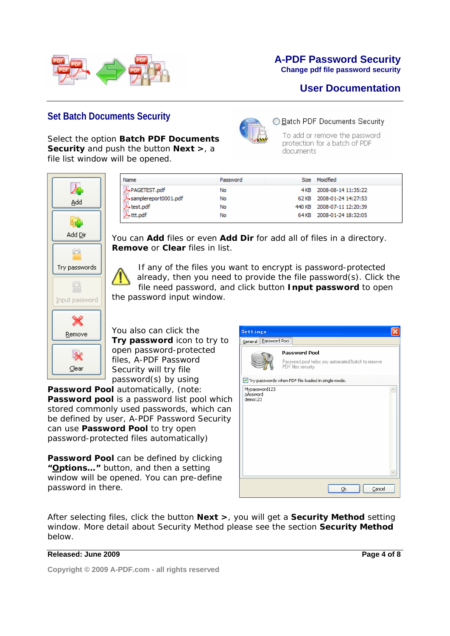

# **A-PDF Password Security**

◯ Batch PDF Documents Security To add or remove the password protection for a batch of PDF

documents

**Change pdf file password security**

# **User Documentation**

## **Set Batch Documents Security**

Select the option **Batch PDF Documents Security** and push the button **Next >**, a file list window will be opened.



| <b>Name</b>          | Password | Size  | Moidfied                   |
|----------------------|----------|-------|----------------------------|
| PAGETEST.pdf         | No       |       | 4KB 2008-08-14 11:35:22    |
| samplereport0001.pdf | No       |       | 62 KB 2008-01-24 14:27:53  |
| test.pdf             | No       |       | 440 KB 2008-07-11 12:20:39 |
| Lttt.pdf             | No       | 64 KB | 2008-01-24 18:32:05        |

You can **Add** files or even **Add Dir** for add all of files in a directory. **Remove** or **Clear** files in list.

If any of the files you want to encrypt is password-protected already, then you need to provide the file password(s). Click the file need password, and click button **Input password** to open the password input window.

You also can click the **Try password** icon to try to open password-protected files, A-PDF Password Security will try file password(s) by using

**Password Pool** automatically, (note: **Password pool** is a password list pool which stored commonly used passwords, which can be defined by user, A-PDF Password Security can use **Password Pool** to try open password-protected files automatically)

**Password Pool** can be defined by clicking **"Options…"** button, and then a setting window will be opened. You can pre-define password in there.

| Settings                             |                                                                                                  |  |
|--------------------------------------|--------------------------------------------------------------------------------------------------|--|
| General <b>Password Pool</b>         |                                                                                                  |  |
|                                      | <b>Password Pool</b><br>Password pool helps you automated/batch to remove<br>PDF files security. |  |
| Mypassword123<br>pAssword<br>demo123 | Try passwords when PDF file loaded in single mode.                                               |  |
|                                      | Cancel<br>Ok                                                                                     |  |

After selecting files, click the button **Next >**, you will get a **Security Method** setting window. More detail about Security Method please see the section **Security Method** below.

#### **Released: June 2009**

**Page 4 of 8**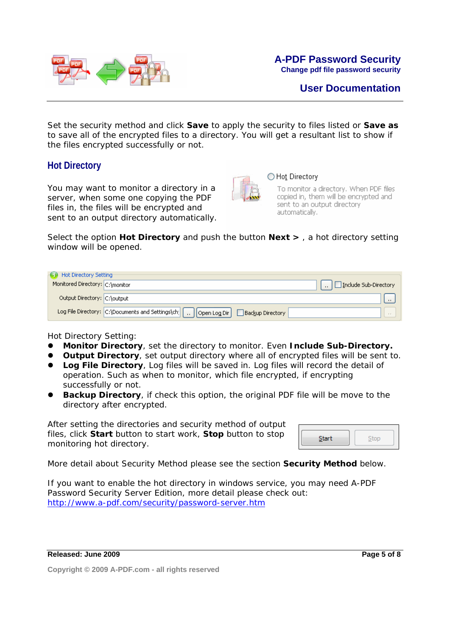

Set the security method and click **Save** to apply the security to files listed or **Save as**  to save all of the encrypted files to a directory. You will get a resultant list to show if the files encrypted successfully or not.

### **Hot Directory**

You may want to monitor a directory in a server, when some one copying the PDF files in, the files will be encrypted and sent to an output directory automatically.



#### ◯ Hot Directory

To monitor a directory. When PDF files copied in, them will be encrypted and sent to an output directory automatically.

Select the option **Hot Directory** and push the button **Next >** , a hot directory setting window will be opened.

| Hot Directory Setting           |                                                                                                 |                                          |
|---------------------------------|-------------------------------------------------------------------------------------------------|------------------------------------------|
| Monitored Directory: C:\monitor |                                                                                                 | $\left  \ \right $ Include Sub-Directory |
| Output Directory: C:\output     |                                                                                                 |                                          |
|                                 | Log File Directory: C:\Documents and Settings\ch;   [      Open Log Dir   /<br>Backup Directory |                                          |

Hot Directory Setting:

- **Monitor Directory**, set the directory to monitor. Even Include Sub-Directory.
- **Output Directory**, set output directory where all of encrypted files will be sent to.
- **Log File Directory**, Log files will be saved in. Log files will record the detail of operation. Such as when to monitor, which file encrypted, if encrypting successfully or not.
- **Backup Directory**, if check this option, the original PDF file will be move to the directory after encrypted.

After setting the directories and security method of output files, click **Start** button to start work, **Stop** button to stop monitoring hot directory.

More detail about Security Method please see the section **Security Method** below.

If you want to enable the hot directory in windows service, you may need A-PDF Password Security Server Edition, more detail please check out: http://www.a-pdf.com/security/password-server.htm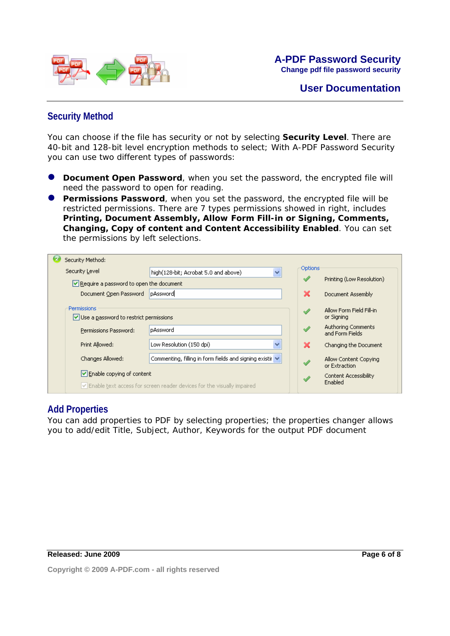

# **Security Method**

You can choose if the file has security or not by selecting **Security Level**. There are 40-bit and 128-bit level encryption methods to select; With A-PDF Password Security you can use two different types of passwords:

- **Document Open Password**, when you set the password, the encrypted file will need the password to open for reading.
- **Permissions Password**, when you set the password, the encrypted file will be restricted permissions. There are 7 types permissions showed in right, includes **Printing, Document Assembly, Allow Form Fill-in or Signing, Comments, Changing, Copy of content and Content Accessibility Enabled**. You can set the permissions by left selections.

| Security Method:                                             |                                                                        |         |                                              |
|--------------------------------------------------------------|------------------------------------------------------------------------|---------|----------------------------------------------|
| Security Level                                               | $\checkmark$<br>high(128-bit; Acrobat 5.0 and above)                   | Options |                                              |
| $\vee$ Require a password to open the document               |                                                                        |         | Printing (Low Resolution)                    |
| Document Open Password                                       | pAssword                                                               | ×       | Document Assembly                            |
| <b>Permissions</b><br>Use a password to restrict permissions |                                                                        |         | Allow Form Field Fill-in<br>or Signing       |
| Permissions Password:                                        | pAssword                                                               |         | <b>Authoring Comments</b><br>and Form Fields |
| Print Allowed:                                               | Low Resolution (150 dpi)<br>v                                          | x       | Changing the Document                        |
| Changes Allowed:                                             | Commenting, filling in form fields and signing existir V               |         | Allow Content Copying<br>or Extraction       |
| $\triangledown$ Enable copying of content                    | Enable text access for screen reader devices for the visually impaired |         | Content Accessibility<br>Enabled             |

#### **Add Properties**

You can add properties to PDF by selecting properties; the properties changer allows you to add/edit Title, Subject, Author, Keywords for the output PDF document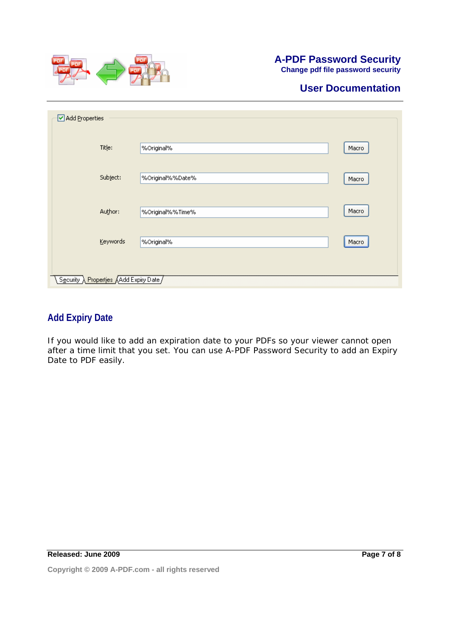

# **A-PDF Password Security**

**Change pdf file password security**

# **User Documentation**

| Add Properties                        |                  |       |
|---------------------------------------|------------------|-------|
| Title:                                | %Original%       | Macro |
| Subject:                              | %Original%%Date% | Macro |
| Author:                               | %Original%%Time% | Macro |
| Keywords                              | %Original%       | Macro |
| Security Properties Add Expiry Date / |                  |       |

## **Add Expiry Date**

If you would like to add an expiration date to your PDFs so your viewer cannot open after a time limit that you set. You can use A-PDF Password Security to add an Expiry Date to PDF easily.